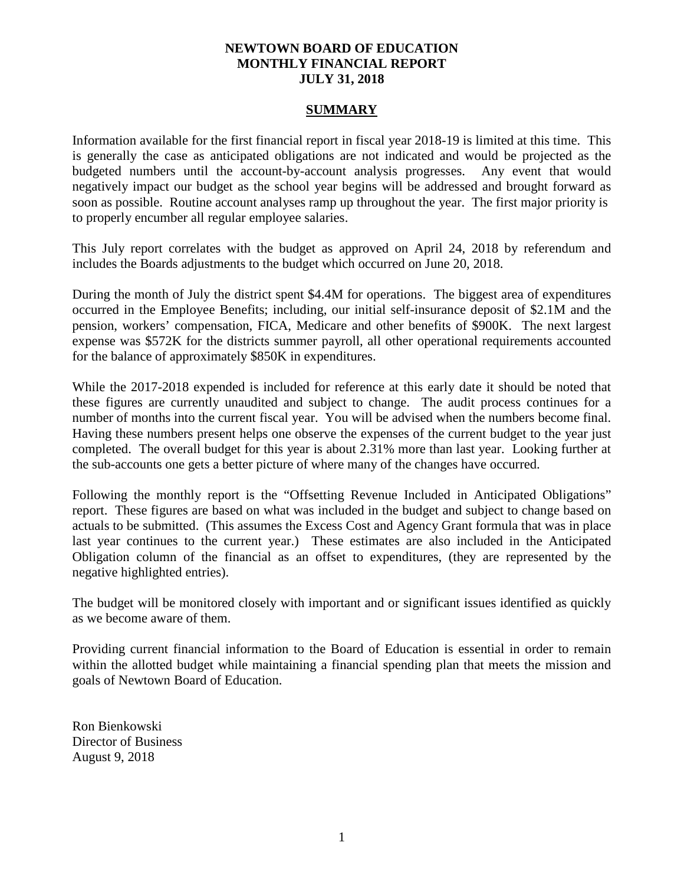# **NEWTOWN BOARD OF EDUCATION MONTHLY FINANCIAL REPORT JULY 31, 2018**

#### **SUMMARY**

Information available for the first financial report in fiscal year 2018-19 is limited at this time. This is generally the case as anticipated obligations are not indicated and would be projected as the budgeted numbers until the account-by-account analysis progresses. Any event that would negatively impact our budget as the school year begins will be addressed and brought forward as soon as possible. Routine account analyses ramp up throughout the year. The first major priority is to properly encumber all regular employee salaries.

This July report correlates with the budget as approved on April 24, 2018 by referendum and includes the Boards adjustments to the budget which occurred on June 20, 2018.

During the month of July the district spent \$4.4M for operations. The biggest area of expenditures occurred in the Employee Benefits; including, our initial self-insurance deposit of \$2.1M and the pension, workers' compensation, FICA, Medicare and other benefits of \$900K. The next largest expense was \$572K for the districts summer payroll, all other operational requirements accounted for the balance of approximately \$850K in expenditures.

While the 2017-2018 expended is included for reference at this early date it should be noted that these figures are currently unaudited and subject to change. The audit process continues for a number of months into the current fiscal year. You will be advised when the numbers become final. Having these numbers present helps one observe the expenses of the current budget to the year just completed. The overall budget for this year is about 2.31% more than last year. Looking further at the sub-accounts one gets a better picture of where many of the changes have occurred.

Following the monthly report is the "Offsetting Revenue Included in Anticipated Obligations" report. These figures are based on what was included in the budget and subject to change based on actuals to be submitted. (This assumes the Excess Cost and Agency Grant formula that was in place last year continues to the current year.) These estimates are also included in the Anticipated Obligation column of the financial as an offset to expenditures, (they are represented by the negative highlighted entries).

The budget will be monitored closely with important and or significant issues identified as quickly as we become aware of them.

Providing current financial information to the Board of Education is essential in order to remain within the allotted budget while maintaining a financial spending plan that meets the mission and goals of Newtown Board of Education.

Ron Bienkowski Director of Business August 9, 2018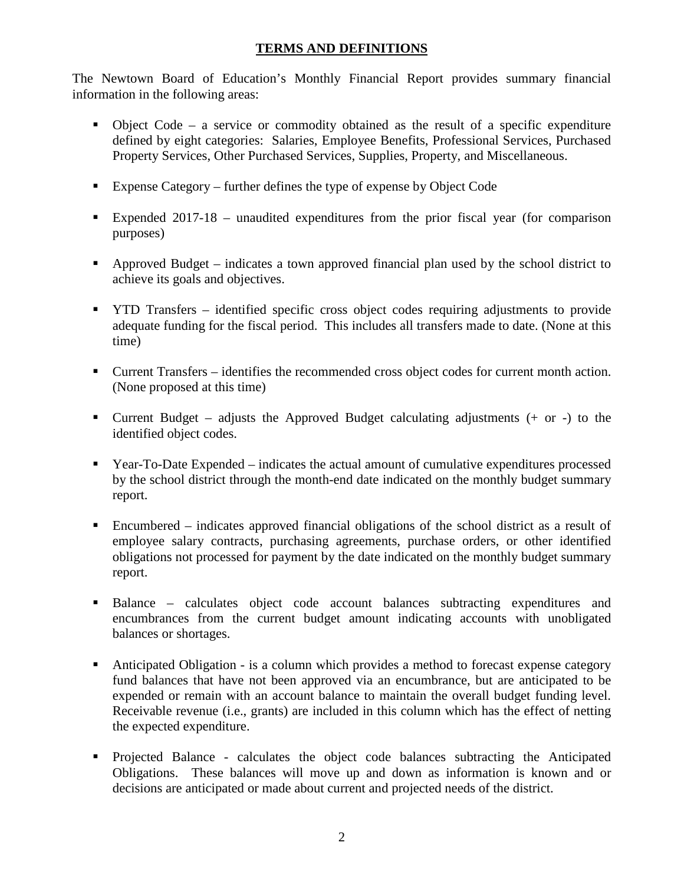# **TERMS AND DEFINITIONS**

The Newtown Board of Education's Monthly Financial Report provides summary financial information in the following areas:

- $\bullet$  Object Code a service or commodity obtained as the result of a specific expenditure defined by eight categories: Salaries, Employee Benefits, Professional Services, Purchased Property Services, Other Purchased Services, Supplies, Property, and Miscellaneous.
- Expense Category further defines the type of expense by Object Code
- Expended 2017-18 unaudited expenditures from the prior fiscal year (for comparison purposes)
- Approved Budget indicates a town approved financial plan used by the school district to achieve its goals and objectives.
- **THE TRANSFER** identified specific cross object codes requiring adjustments to provide adequate funding for the fiscal period. This includes all transfers made to date. (None at this time)
- Current Transfers identifies the recommended cross object codes for current month action. (None proposed at this time)
- **Current Budget** adjusts the Approved Budget calculating adjustments  $(+)$  or  $-)$  to the identified object codes.
- Year-To-Date Expended indicates the actual amount of cumulative expenditures processed by the school district through the month-end date indicated on the monthly budget summary report.
- Encumbered indicates approved financial obligations of the school district as a result of employee salary contracts, purchasing agreements, purchase orders, or other identified obligations not processed for payment by the date indicated on the monthly budget summary report.
- Balance calculates object code account balances subtracting expenditures and encumbrances from the current budget amount indicating accounts with unobligated balances or shortages.
- Anticipated Obligation is a column which provides a method to forecast expense category fund balances that have not been approved via an encumbrance, but are anticipated to be expended or remain with an account balance to maintain the overall budget funding level. Receivable revenue (i.e., grants) are included in this column which has the effect of netting the expected expenditure.
- Projected Balance calculates the object code balances subtracting the Anticipated Obligations. These balances will move up and down as information is known and or decisions are anticipated or made about current and projected needs of the district.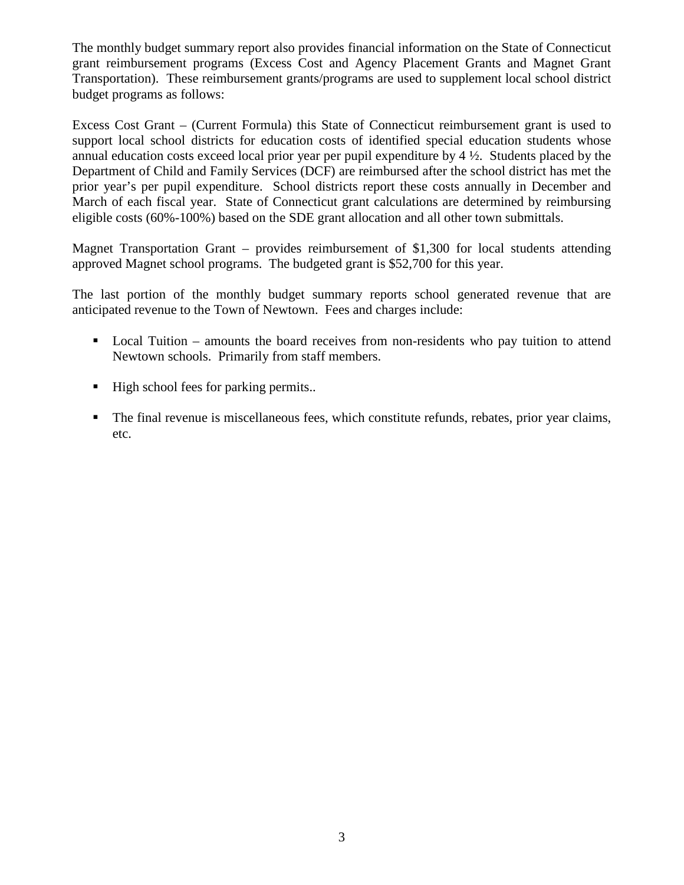The monthly budget summary report also provides financial information on the State of Connecticut grant reimbursement programs (Excess Cost and Agency Placement Grants and Magnet Grant Transportation). These reimbursement grants/programs are used to supplement local school district budget programs as follows:

Excess Cost Grant – (Current Formula) this State of Connecticut reimbursement grant is used to support local school districts for education costs of identified special education students whose annual education costs exceed local prior year per pupil expenditure by  $4\frac{1}{2}$ . Students placed by the Department of Child and Family Services (DCF) are reimbursed after the school district has met the prior year's per pupil expenditure. School districts report these costs annually in December and March of each fiscal year. State of Connecticut grant calculations are determined by reimbursing eligible costs (60%-100%) based on the SDE grant allocation and all other town submittals.

Magnet Transportation Grant – provides reimbursement of \$1,300 for local students attending approved Magnet school programs. The budgeted grant is \$52,700 for this year.

The last portion of the monthly budget summary reports school generated revenue that are anticipated revenue to the Town of Newtown. Fees and charges include:

- Local Tuition amounts the board receives from non-residents who pay tuition to attend Newtown schools. Primarily from staff members.
- High school fees for parking permits..
- The final revenue is miscellaneous fees, which constitute refunds, rebates, prior year claims, etc.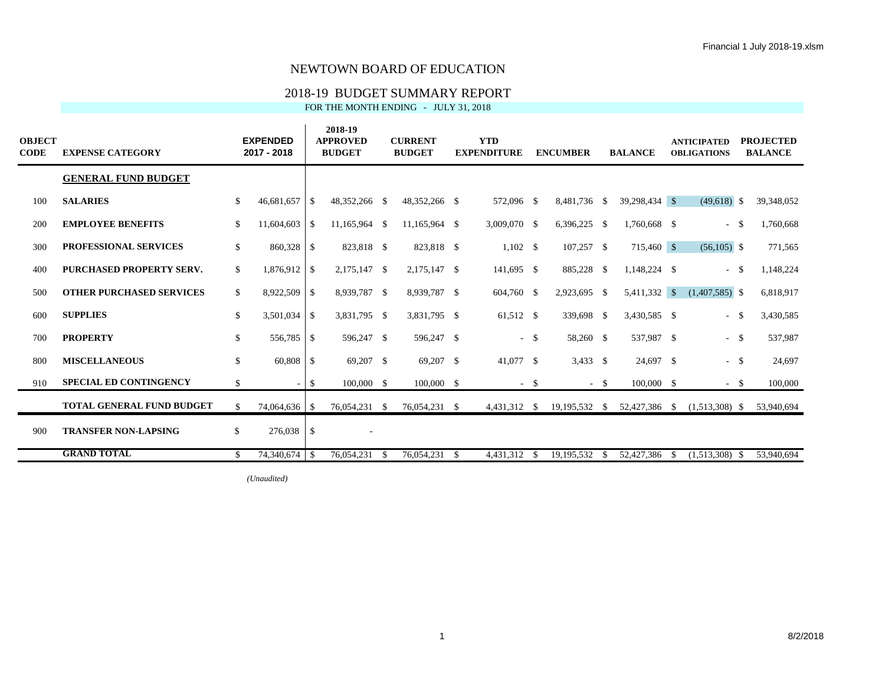### 2018-19 BUDGET SUMMARY REPORT

FOR THE MONTH ENDING - JULY 31, 2018

| <b>OBJECT</b><br><b>CODE</b> | <b>EXPENSE CATEGORY</b>          |     | <b>EXPENDED</b><br>2017 - 2018 |               | 2018-19<br><b>APPROVED</b><br><b>BUDGET</b> |      | <b>CURRENT</b><br><b>BUDGET</b> | <b>YTD</b><br><b>EXPENDITURE</b> |        | <b>ENCUMBER</b>         | <b>BALANCE</b> |    | <b>ANTICIPATED</b><br><b>OBLIGATIONS</b> |      | <b>PROJECTED</b><br><b>BALANCE</b> |
|------------------------------|----------------------------------|-----|--------------------------------|---------------|---------------------------------------------|------|---------------------------------|----------------------------------|--------|-------------------------|----------------|----|------------------------------------------|------|------------------------------------|
|                              | <b>GENERAL FUND BUDGET</b>       |     |                                |               |                                             |      |                                 |                                  |        |                         |                |    |                                          |      |                                    |
| 100                          | <b>SALARIES</b>                  | \$  | 46,681,657                     | <sup>\$</sup> | 48,352,266 \$                               |      | 48.352.266 \$                   | 572,096 \$                       |        | 8,481,736 \$            | 39,298,434 \$  |    | $(49,618)$ \$                            |      | 39,348,052                         |
| 200                          | <b>EMPLOYEE BENEFITS</b>         | \$. | $11,604,603$ \$                |               | 11,165,964                                  | - \$ | 11,165,964 \$                   | 3,009,070 \$                     |        | 6,396,225 \$            | 1,760,668 \$   |    | $\sim$                                   | - \$ | 1,760,668                          |
| 300                          | <b>PROFESSIONAL SERVICES</b>     | \$  | 860,328                        | -S            | 823,818 \$                                  |      | 823,818 \$                      | $1,102 \quad$ \$                 |        | $107,257$ \$            | 715,460 \$     |    | $(56,105)$ \$                            |      | 771,565                            |
| 400                          | <b>PURCHASED PROPERTY SERV.</b>  | \$  | 1,876,912 \$                   |               | 2,175,147 \$                                |      | 2,175,147 \$                    | 141,695 \$                       |        | 885,228 \$              | 1,148,224 \$   |    | $\sim$                                   | - \$ | 1,148,224                          |
| 500                          | <b>OTHER PURCHASED SERVICES</b>  | \$  | 8,922,509                      | -S            | 8,939,787 \$                                |      | 8,939,787 \$                    | 604,760 \$                       |        | 2,923,695 \$            | 5,411,332 \$   |    | $(1,407,585)$ \$                         |      | 6,818,917                          |
| 600                          | <b>SUPPLIES</b>                  | \$  | 3,501,034                      | $\vert$ \$    | 3,831,795 \$                                |      | 3,831,795 \$                    | 61,512 \$                        |        | 339,698 \$              | 3,430,585 \$   |    | $\sim$                                   | - \$ | 3,430,585                          |
| 700                          | <b>PROPERTY</b>                  | \$  | 556,785 \$                     |               | 596,247 \$                                  |      | 596,247 \$                      |                                  | $-$ \$ | 58,260 \$               | 537,987 \$     |    | $-$ \$                                   |      | 537,987                            |
| 800                          | <b>MISCELLANEOUS</b>             | \$  | 60,808                         | -S            | 69,207 \$                                   |      | 69,207 \$                       | 41,077 \$                        |        | $3,433$ \$              | 24,697 \$      |    | $-$ \$                                   |      | 24,697                             |
| 910                          | <b>SPECIAL ED CONTINGENCY</b>    | \$  |                                | -S            | 100,000 \$                                  |      | 100,000 \$                      |                                  | $-$ \$ | $-$ \$                  | 100,000 \$     |    | $-$ \$                                   |      | 100,000                            |
|                              | <b>TOTAL GENERAL FUND BUDGET</b> | \$  | 74,064,636 \$                  |               | 76,054,231 \$                               |      | 76,054,231 \$                   | 4,431,312 \$                     |        | 19,195,532 \$           | 52,427,386 \$  |    | $(1,513,308)$ \$                         |      | 53,940,694                         |
| 900                          | <b>TRANSFER NON-LAPSING</b>      | \$  | 276,038                        | -\$           |                                             |      |                                 |                                  |        |                         |                |    |                                          |      |                                    |
|                              | <b>GRAND TOTAL</b>               | \$. | 74.340.674 \$                  |               | 76,054,231                                  | -S   | 76.054.231 \$                   | 4.431.312                        | - \$   | $\overline{19,195,532}$ | 52,427,386     | -S | $\overline{(1,513,308)}$ \$              |      | 53,940,694                         |

*(Unaudited)*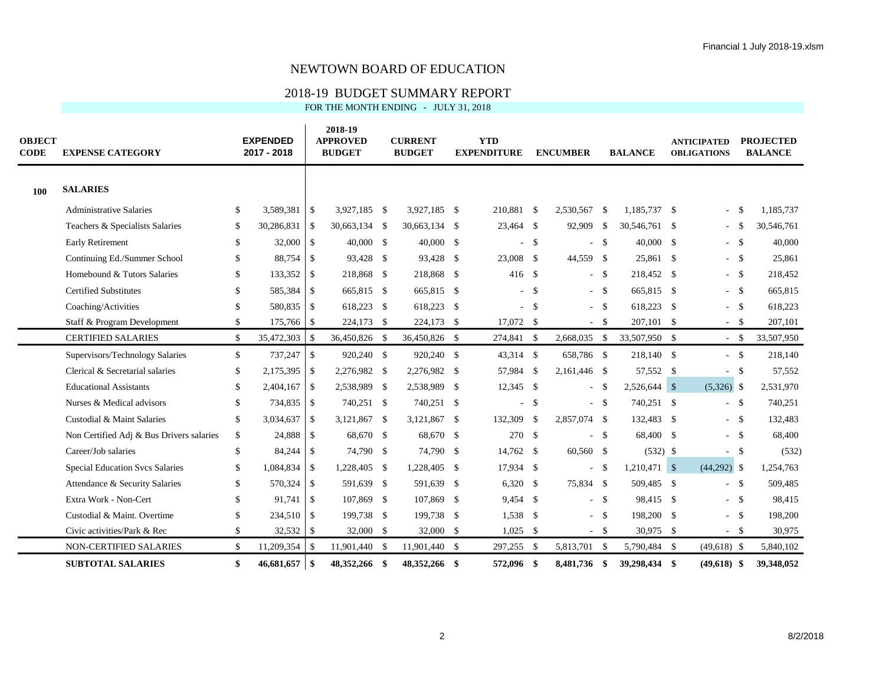## 2018-19 BUDGET SUMMARY REPORT

FOR THE MONTH ENDING - JULY 31, 2018

| <b>OBJECT</b><br><b>CODE</b> | <b>EXPENSE CATEGORY</b>                  |               | <b>EXPENDED</b><br>2017 - 2018 |                | 2018-19<br><b>APPROVED</b><br><b>BUDGET</b> |      | <b>CURRENT</b><br><b>BUDGET</b> | <b>YTD</b><br><b>EXPENDITURE</b> |               | <b>ENCUMBER</b> | <b>BALANCE</b> |     | <b>ANTICIPATED</b><br><b>OBLIGATIONS</b> |              | <b>PROJECTED</b><br><b>BALANCE</b> |
|------------------------------|------------------------------------------|---------------|--------------------------------|----------------|---------------------------------------------|------|---------------------------------|----------------------------------|---------------|-----------------|----------------|-----|------------------------------------------|--------------|------------------------------------|
| 100                          | <b>SALARIES</b>                          |               |                                |                |                                             |      |                                 |                                  |               |                 |                |     |                                          |              |                                    |
|                              | <b>Administrative Salaries</b>           | \$            | 3,589,381                      | $\sqrt{ }$     | 3,927,185 \$                                |      | 3,927,185 \$                    | 210,881 \$                       |               | 2,530,567 \$    | 1.185.737 \$   |     | ÷,                                       | - \$         | 1,185,737                          |
|                              | Teachers & Specialists Salaries          | S.            | 30,286,831                     | l \$           | 30.663.134 \$                               |      | 30,663,134 \$                   | 23,464 \$                        |               | 92,909 \$       | 30.546.761 \$  |     | $\mathcal{L}_{\mathcal{A}}$              | - \$         | 30,546,761                         |
|                              | <b>Early Retirement</b>                  | \$            | 32,000                         | $\mathbb{S}$   | $40,000$ \$                                 |      | $40,000$ \$                     |                                  | - \$          | $-$ \$          | 40,000 \$      |     |                                          | $-$ \$       | 40,000                             |
|                              | Continuing Ed./Summer School             | \$            | 88,754                         | $\mathbb{S}$   | 93,428 \$                                   |      | 93,428 \$                       | 23,008 \$                        |               | 44,559 \$       | 25,861         | -\$ |                                          | $-$ \$       | 25,861                             |
|                              | Homebound & Tutors Salaries              | \$            | 133,352 \$                     |                | 218,868 \$                                  |      | 218,868 \$                      | 416                              | - \$          | $-$ \$          | 218,452 \$     |     |                                          | $-$ \$       | 218,452                            |
|                              | <b>Certified Substitutes</b>             | $\mathcal{S}$ | 585,384                        | $\mathbb{S}$   | 665,815 \$                                  |      | 665,815 \$                      |                                  | $\mathcal{S}$ | $-$ \$          | 665,815 \$     |     |                                          | $-$ \$       | 665,815                            |
|                              | Coaching/Activities                      | \$.           | 580,835 \$                     |                | 618,223 \$                                  |      | 618,223 \$                      |                                  | $-$ \$        | $-$ \$          | 618,223 \$     |     |                                          | $-$ \$       | 618,223                            |
|                              | Staff & Program Development              | \$            | 175,766 \$                     |                | 224,173 \$                                  |      | 224,173 \$                      | 17,072 \$                        |               | $-$ \$          | 207,101 \$     |     | $\sim$                                   | <b>S</b>     | 207,101                            |
|                              | <b>CERTIFIED SALARIES</b>                | $\mathbb{S}$  | 35,472,303                     | $\mathbb{S}$   | 36,450,826 \$                               |      | 36,450,826 \$                   | 274,841 \$                       |               | 2,668,035 \$    | 33,507,950 \$  |     |                                          | $-$ \$       | 33,507,950                         |
|                              | Supervisors/Technology Salaries          | $\mathbb{S}$  | 737,247                        | <b>S</b>       | 920,240 \$                                  |      | 920,240 \$                      | 43,314 \$                        |               | 658,786 \$      | 218,140 \$     |     |                                          | $-$ \$       | 218,140                            |
|                              | Clerical & Secretarial salaries          | \$            | 2,175,395                      | -S             | 2,276,982 \$                                |      | 2,276,982 \$                    | 57,984 \$                        |               | 2,161,446 \$    | 57,552 \$      |     |                                          | $-$ \$       | 57,552                             |
|                              | <b>Educational Assistants</b>            | \$            | 2,404,167                      | $\mathbb{S}$   | 2,538,989 \$                                |      | 2,538,989 \$                    | 12,345 \$                        |               | $-$ \$          | $2,526,644$ \$ |     | $(5,326)$ \$                             |              | 2,531,970                          |
|                              | Nurses & Medical advisors                | \$            | 734,835                        | $\overline{1}$ | 740,251 \$                                  |      | 740,251 \$                      |                                  | - \$          | $-$ \$          | 740,251 \$     |     |                                          | $-$ \$       | 740,251                            |
|                              | Custodial & Maint Salaries               | \$            | 3,034,637                      | l \$           | 3,121,867 \$                                |      | 3,121,867 \$                    | 132,309                          | - \$          | 2,857,074 \$    | 132,483 \$     |     |                                          | $-$ \$       | 132,483                            |
|                              | Non Certified Adj & Bus Drivers salaries | \$            | 24,888                         | \$             | 68,670 \$                                   |      | 68,670 \$                       | 270 \$                           |               | $-$ \$          | 68,400 \$      |     |                                          | $-$ \$       | 68,400                             |
|                              | Career/Job salaries                      | \$            | 84,244                         | \$             | 74,790 \$                                   |      | 74,790 \$                       | 14,762 \$                        |               | 60,560 \$       | $(532)$ \$     |     |                                          | $-$ \$       | (532)                              |
|                              | Special Education Svcs Salaries          | \$            | 1,084,834                      | $\mathbb{S}$   | 1,228,405 \$                                |      | 1,228,405 \$                    | 17,934 \$                        |               | $-$ \$          | $1,210,471$ \$ |     | $(44,292)$ \$                            |              | 1,254,763                          |
|                              | Attendance & Security Salaries           | \$            | 570,324                        | $\mathbb{S}$   | 591,639 \$                                  |      | 591,639 \$                      | $6,320$ \$                       |               | 75,834 \$       | 509,485 \$     |     |                                          | $-$ \$       | 509,485                            |
|                              | Extra Work - Non-Cert                    | £.            |                                |                | 107,869 \$                                  |      | 107,869 \$                      | 9.454 \$                         |               | $-$ \$          | 98,415 \$      |     |                                          | $-$ \$       | 98,415                             |
|                              | Custodial & Maint. Overtime              |               | 234,510 \$                     |                | 199,738 \$                                  |      | 199,738 \$                      | 1,538 \$                         |               | $-$ \$          | 198,200 \$     |     | $\mathcal{L}_{\mathcal{A}}$              | $\mathbf{s}$ | 198,200                            |
|                              | Civic activities/Park & Rec              | \$            | 32,532 \$                      |                | 32,000 \$                                   |      | 32,000 \$                       | $1,025$ \$                       |               | $-$ \$          | 30,975 \$      |     |                                          | $-$ \$       | 30,975                             |
|                              | NON-CERTIFIED SALARIES                   | \$            | 11,209,354                     | l \$           | 11,901,440 \$                               |      | 11,901,440 \$                   | 297,255 \$                       |               | 5,813,701 \$    | 5,790,484 \$   |     | $(49,618)$ \$                            |              | 5,840,102                          |
|                              | <b>SUBTOTAL SALARIES</b>                 | \$            | $46,681,657$ \$                |                | 48,352,266                                  | - \$ | 48,352,266 \$                   | 572.096                          | - \$          | 8.481.736 \$    | 39,298,434 \$  |     | $(49,618)$ \$                            |              | 39,348,052                         |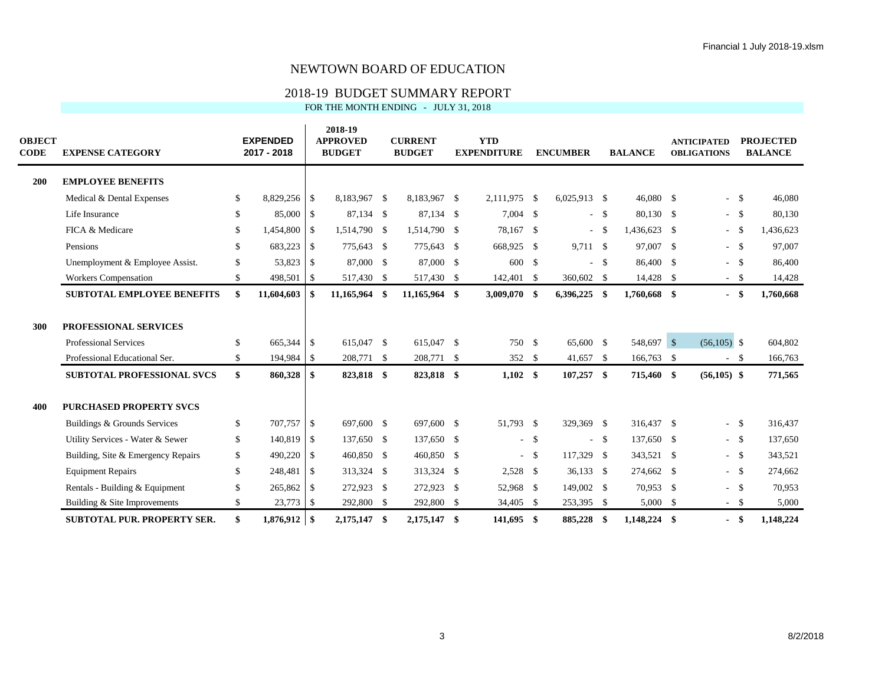### 2018-19 BUDGET SUMMARY REPORT

FOR THE MONTH ENDING - JULY 31, 2018

| <b>OBJECT</b><br><b>CODE</b> | <b>EXPENSE CATEGORY</b>            | <b>EXPENDED</b><br>2017 - 2018 |            | 2018-19<br><b>APPROVED</b><br><b>BUDGET</b> | <b>CURRENT</b><br><b>BUDGET</b> | <b>YTD</b><br><b>EXPENDITURE</b> |               | <b>ENCUMBER</b> |        | <b>BALANCE</b> | <b>ANTICIPATED</b><br><b>OBLIGATIONS</b> |               | <b>PROJECTED</b><br><b>BALANCE</b> |
|------------------------------|------------------------------------|--------------------------------|------------|---------------------------------------------|---------------------------------|----------------------------------|---------------|-----------------|--------|----------------|------------------------------------------|---------------|------------------------------------|
| 200                          | <b>EMPLOYEE BENEFITS</b>           |                                |            |                                             |                                 |                                  |               |                 |        |                |                                          |               |                                    |
|                              | Medical & Dental Expenses          | \$<br>8,829,256 \$             |            | 8,183,967 \$                                | 8,183,967 \$                    | 2,111,975                        | -\$           | $6,025,913$ \$  |        | 46,080 \$      |                                          | $-$ \$        | 46,080                             |
|                              | Life Insurance                     | \$<br>85,000 \$                |            | 87,134 \$                                   | 87,134 \$                       | 7,004 \$                         |               |                 | $-$ \$ | 80,130 \$      |                                          | $-$ \$        | 80,130                             |
|                              | FICA & Medicare                    | \$<br>1,454,800                | -S         | 1,514,790 \$                                | 1,514,790 \$                    | 78,167                           | $\mathbb{S}$  |                 | $-$ \$ | 1,436,623 \$   |                                          | $-$ \$        | 1,436,623                          |
|                              | Pensions                           | \$<br>683,223 \$               |            | 775,643 \$                                  | 775,643 \$                      | 668,925                          | <sup>\$</sup> | 9,711 \$        |        | 97,007 \$      |                                          | $-$ \$        | 97,007                             |
|                              | Unemployment & Employee Assist.    | \$<br>53,823                   | -S         | 87,000 \$                                   | 87,000 \$                       | 600                              | $\mathbb{S}$  |                 | $-$ \$ | 86,400 \$      |                                          | $-$ \$        | 86,400                             |
|                              | <b>Workers Compensation</b>        | \$<br>498,501                  | $\vert$ \$ | 517,430 \$                                  | 517,430 \$                      | 142,401                          | -S            | 360,602 \$      |        | 14,428 \$      | $\sim$                                   | $\mathcal{S}$ | 14,428                             |
|                              | <b>SUBTOTAL EMPLOYEE BENEFITS</b>  | \$<br>11,604,603               | - \$       | 11,165,964 \$                               | 11,165,964 \$                   | 3,009,070 \$                     |               | $6,396,225$ \$  |        | 1,760,668 \$   |                                          | - \$          | 1,760,668                          |
| 300                          | <b>PROFESSIONAL SERVICES</b>       |                                |            |                                             |                                 |                                  |               |                 |        |                |                                          |               |                                    |
|                              | Professional Services              | \$<br>665,344 \$               |            | 615,047 \$                                  | 615,047 \$                      | 750                              | \$            | 65,600 \$       |        | 548,697 \$     | $(56,105)$ \$                            |               | 604,802                            |
|                              | Professional Educational Ser.      | \$<br>194,984 \$               |            | 208,771 \$                                  | 208,771 \$                      | 352 \$                           |               | 41,657 \$       |        | 166,763 \$     | $\sim$                                   | <b>S</b>      | 166,763                            |
|                              | <b>SUBTOTAL PROFESSIONAL SVCS</b>  | \$<br>860,328 \$               |            | 823,818 \$                                  | 823,818 \$                      | $1,102$ \$                       |               | $107,257$ \$    |        | 715,460 \$     | $(56,105)$ \$                            |               | 771,565                            |
| 400                          | <b>PURCHASED PROPERTY SVCS</b>     |                                |            |                                             |                                 |                                  |               |                 |        |                |                                          |               |                                    |
|                              | Buildings & Grounds Services       | \$<br>707,757 \$               |            | 697,600 \$                                  | 697,600 \$                      | 51,793 \$                        |               | 329,369 \$      |        | 316,437 \$     |                                          | $-$ \$        | 316,437                            |
|                              | Utility Services - Water & Sewer   | \$<br>140,819 \$               |            | 137,650 \$                                  | 137,650 \$                      |                                  | $-$ \$        |                 | $-$ \$ | 137,650 \$     |                                          | $-$ \$        | 137,650                            |
|                              | Building, Site & Emergency Repairs | \$<br>490,220 \$               |            | 460,850 \$                                  | 460,850 \$                      |                                  | $-$ \$        | 117,329 \$      |        | 343,521 \$     |                                          | $-$ \$        | 343,521                            |
|                              | <b>Equipment Repairs</b>           | \$<br>248,481                  | -S         | 313,324 \$                                  | 313,324 \$                      | 2,528 \$                         |               | $36.133$ \$     |        | 274.662 \$     |                                          | $-$ \$        | 274,662                            |
|                              | Rentals - Building & Equipment     | \$<br>$265,862$ \$             |            | 272,923 \$                                  | 272,923 \$                      | 52,968 \$                        |               | 149,002 \$      |        | $70,953$ \$    |                                          | $-$ \$        | 70,953                             |
|                              | Building & Site Improvements       | \$<br>23,773 \$                |            | 292,800 \$                                  | 292,800 \$                      | 34,405                           | -S            | 253,395 \$      |        | 5,000 \$       | $\sim$                                   | - \$          | 5,000                              |
|                              | <b>SUBTOTAL PUR. PROPERTY SER.</b> | \$<br>$1,876,912$ \$           |            | 2.175.147 \$                                | 2,175,147 \$                    | 141.695                          | -\$           | 885,228         | -\$    | 1,148,224      | \$<br>$\blacksquare$                     | - \$          | 1,148,224                          |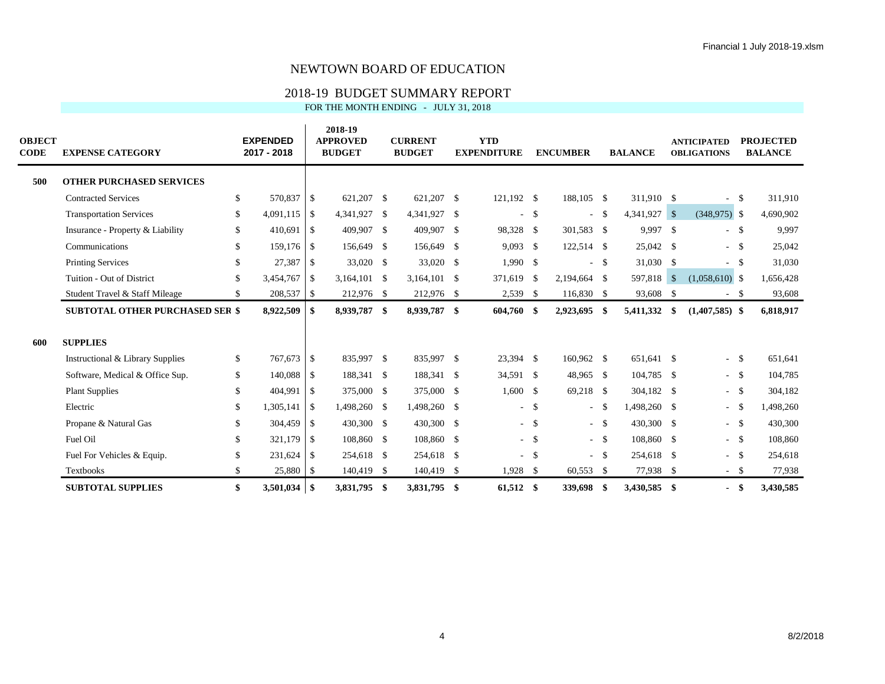## 2018-19 BUDGET SUMMARY REPORT

FOR THE MONTH ENDING - JULY 31, 2018

| <b>OBJECT</b><br><b>CODE</b> | <b>EXPENSE CATEGORY</b>                |     | <b>EXPENDED</b><br>2017 - 2018 |              | 2018-19<br><b>APPROVED</b><br><b>BUDGET</b> | <b>CURRENT</b><br><b>BUDGET</b> | <b>YTD</b><br><b>EXPENDITURE</b> |               | <b>ENCUMBER</b> |        | <b>BALANCE</b> |     | <b>ANTICIPATED</b><br><b>OBLIGATIONS</b> |      | <b>PROJECTED</b><br><b>BALANCE</b> |
|------------------------------|----------------------------------------|-----|--------------------------------|--------------|---------------------------------------------|---------------------------------|----------------------------------|---------------|-----------------|--------|----------------|-----|------------------------------------------|------|------------------------------------|
| 500                          | <b>OTHER PURCHASED SERVICES</b>        |     |                                |              |                                             |                                 |                                  |               |                 |        |                |     |                                          |      |                                    |
|                              | <b>Contracted Services</b>             | S.  | 570,837 \$                     |              | 621,207 \$                                  | 621,207 \$                      | 121,192 \$                       |               | 188,105 \$      |        | 311,910 \$     |     | $\overline{\phantom{a}}$                 | -S   | 311,910                            |
|                              | <b>Transportation Services</b>         | \$  | $4,091,115$ \$                 |              | 4,341,927 \$                                | 4,341,927 \$                    | ÷.                               | $\mathbb{S}$  |                 | $-$ \$ | 4,341,927 \$   |     | $(348,975)$ \$                           |      | 4,690,902                          |
|                              | Insurance - Property & Liability       | \$  | 410,691 \$                     |              | 409,907 \$                                  | 409,907 \$                      | 98,328 \$                        |               | 301,583 \$      |        | 9,997 \$       |     | $-$ \$                                   |      | 9,997                              |
|                              | Communications                         | \$  | 159,176 \$                     |              | 156,649 \$                                  | 156,649 \$                      | 9,093                            | <sup>\$</sup> | 122,514 \$      |        | 25,042 \$      |     | $-$ \$                                   |      | 25,042                             |
|                              | <b>Printing Services</b>               | \$  | 27,387                         | -S           | 33,020 \$                                   | 33,020 \$                       | $1,990$ \$                       |               |                 | $-$ \$ | 31,030 \$      |     | $\overline{\phantom{a}}$                 | -\$  | 31,030                             |
|                              | Tuition - Out of District              | \$. | 3,454,767                      | -S           | $3,164,101$ \$                              | 3,164,101 \$                    | 371,619                          | $\mathbb{S}$  | 2,194,664 \$    |        | 597,818 \$     |     | $(1,058,610)$ \$                         |      | 1,656,428                          |
|                              | Student Travel & Staff Mileage         | \$  | 208,537 \$                     |              | 212,976 \$                                  | 212,976 \$                      | 2,539                            | <sup>\$</sup> | 116,830 \$      |        | 93,608 \$      |     | ٠                                        | -S   | 93,608                             |
|                              | <b>SUBTOTAL OTHER PURCHASED SER \$</b> |     | 8,922,509                      | \$           | 8,939,787 \$                                | 8,939,787 \$                    | 604,760                          | -\$           | 2,923,695 \$    |        | 5,411,332      | -\$ | $(1,407,585)$ \$                         |      | 6,818,917                          |
| 600                          | <b>SUPPLIES</b>                        |     |                                |              |                                             |                                 |                                  |               |                 |        |                |     |                                          |      |                                    |
|                              | Instructional & Library Supplies       | \$  | 767,673 \$                     |              | 835,997 \$                                  | 835,997 \$                      | 23,394 \$                        |               | 160.962 \$      |        | 651,641 \$     |     | $\sim$                                   | - \$ | 651,641                            |
|                              | Software, Medical & Office Sup.        | \$  | 140,088 \$                     |              | 188,341 \$                                  | 188,341 \$                      | 34,591 \$                        |               | 48,965 \$       |        | 104,785 \$     |     | $-$ \$                                   |      | 104,785                            |
|                              | <b>Plant Supplies</b>                  | \$  | 404,991                        | $\mathbb{S}$ | 375,000 \$                                  | 375,000 \$                      | $1,600$ \$                       |               | 69,218 \$       |        | 304,182 \$     |     | $\sim$                                   | - \$ | 304,182                            |
|                              | Electric                               | \$  | 1,305,141                      | \$           | 1,498,260 \$                                | 1,498,260 \$                    | $\sim$                           | $\mathbb{S}$  |                 | $-$ \$ | 1,498,260 \$   |     | $\sim$                                   | - \$ | 1,498,260                          |
|                              | Propane & Natural Gas                  | \$  | 304,459                        | -S           | 430,300 \$                                  | 430,300 \$                      |                                  | $-$ \$        |                 | $-$ \$ | 430,300 \$     |     | $-$ \$                                   |      | 430,300                            |
|                              | Fuel Oil                               | \$  | 321,179                        | $\mathbb{S}$ | 108,860 \$                                  | 108,860 \$                      |                                  | $-$ \$        |                 | $-$ \$ | 108,860 \$     |     | $-$ \$                                   |      | 108,860                            |
|                              | Fuel For Vehicles & Equip.             |     | 231,624 \$                     |              | 254,618 \$                                  | 254,618 \$                      | $\sim$                           | <sup>\$</sup> |                 | $-$ \$ | 254,618 \$     |     | $-$ \$                                   |      | 254,618                            |
|                              | Textbooks                              | £.  | 25,880 \$                      |              | 140,419 \$                                  | 140,419 \$                      | 1,928                            | -S            | $60,553$ \$     |        | 77,938 \$      |     | $\sim$                                   | - \$ | 77,938                             |
|                              | <b>SUBTOTAL SUPPLIES</b>               | \$  |                                |              | 3,831,795 \$                                | 3,831,795 \$                    | 61,512 \$                        |               | 339,698 \$      |        | 3,430,585 \$   |     | $\overline{\phantom{0}}$                 | -\$  | 3,430,585                          |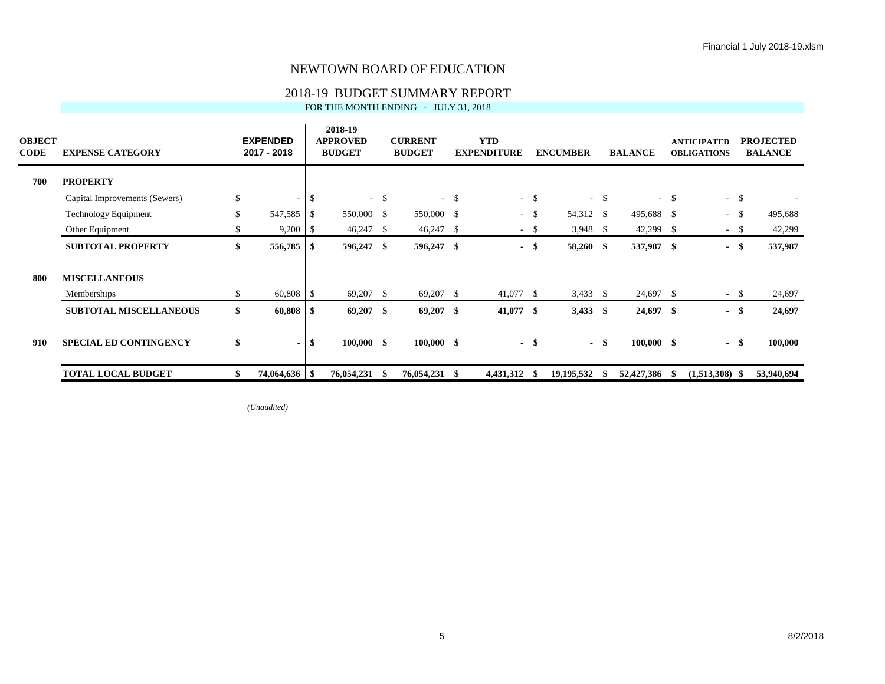# 2018-19 BUDGET SUMMARY REPORT<br>FOR THE MONTH ENDING - JULY 31, 2018

| FOR THE MONTH ENDING   -   JULY 31. 2018 |  |  |
|------------------------------------------|--|--|
|------------------------------------------|--|--|

| <b>OBJECT</b><br><b>CODE</b> | <b>EXPENSE CATEGORY</b>       |              | <b>EXPENDED</b><br>2017 - 2018 |                    | 2018-19<br><b>APPROVED</b><br><b>BUDGET</b> |        | <b>CURRENT</b><br><b>BUDGET</b> |        | <b>YTD</b><br><b>EXPENDITURE</b> |        | <b>ENCUMBER</b> |        | <b>BALANCE</b> |        | <b>ANTICIPATED</b><br><b>OBLIGATIONS</b> |      | <b>PROJECTED</b><br><b>BALANCE</b> |
|------------------------------|-------------------------------|--------------|--------------------------------|--------------------|---------------------------------------------|--------|---------------------------------|--------|----------------------------------|--------|-----------------|--------|----------------|--------|------------------------------------------|------|------------------------------------|
| 700                          | <b>PROPERTY</b>               |              |                                |                    |                                             |        |                                 |        |                                  |        |                 |        |                |        |                                          |      |                                    |
|                              | Capital Improvements (Sewers) | $\mathbb{S}$ | $\sim$                         | $\mathbb{S}$       |                                             | $-$ \$ |                                 | $-$ \$ |                                  | $-$ \$ |                 | $-$ \$ |                | $-$ \$ | $-$ \$                                   |      |                                    |
|                              | <b>Technology Equipment</b>   | $\mathbb{S}$ | 547,585                        | -S                 | 550,000 \$                                  |        | 550,000 \$                      |        |                                  | $-$ \$ | 54,312 \$       |        | 495,688 \$     |        | ÷                                        | -S   | 495,688                            |
|                              | Other Equipment               | S            | 9,200                          | S                  | $46,247$ \$                                 |        | $46,247$ \$                     |        |                                  | - \$   | $3,948$ \$      |        | 42,299         | -S     | $\sim$                                   | - \$ | 42,299                             |
|                              | <b>SUBTOTAL PROPERTY</b>      | \$           | 556,785                        | S                  | 596,247 \$                                  |        | 596,247 \$                      |        |                                  | - \$   | 58,260 \$       |        | 537,987 \$     |        | $\blacksquare$                           | -\$  | 537,987                            |
| 800                          | <b>MISCELLANEOUS</b>          |              |                                |                    |                                             |        |                                 |        |                                  |        |                 |        |                |        |                                          |      |                                    |
|                              | Memberships                   | \$           | 60,808                         | $\mathbf{\hat{s}}$ | 69,207 \$                                   |        | $69,207$ \$                     |        | 41,077 \$                        |        | $3,433$ \$      |        | 24,697 \$      |        | $\sim$                                   | \$   | 24,697                             |
|                              | <b>SUBTOTAL MISCELLANEOUS</b> | \$           | $60,808$ \ \ \$                |                    | $69,207$ \$                                 |        | $69,207$ \$                     |        | 41,077 \$                        |        | $3,433$ \$      |        | $24,697$ \$    |        | $\blacksquare$                           | - \$ | 24,697                             |
| 910                          | <b>SPECIAL ED CONTINGENCY</b> | \$           | $\blacksquare$                 | \$                 | $100,000$ \$                                |        | $100,000$ \$                    |        |                                  | - \$   |                 | - \$   | $100,000$ \$   |        | $-$ \$                                   |      | 100,000                            |
|                              | <b>TOTAL LOCAL BUDGET</b>     |              |                                |                    | 76,054,231 \$                               |        | 76,054,231                      | - \$   | 4,431,312                        | - 86   | 19,195,532      | - \$   | 52,427,386     | - \$   | $(1,513,308)$ \$                         |      | 53,940,694                         |

*(Unaudited)*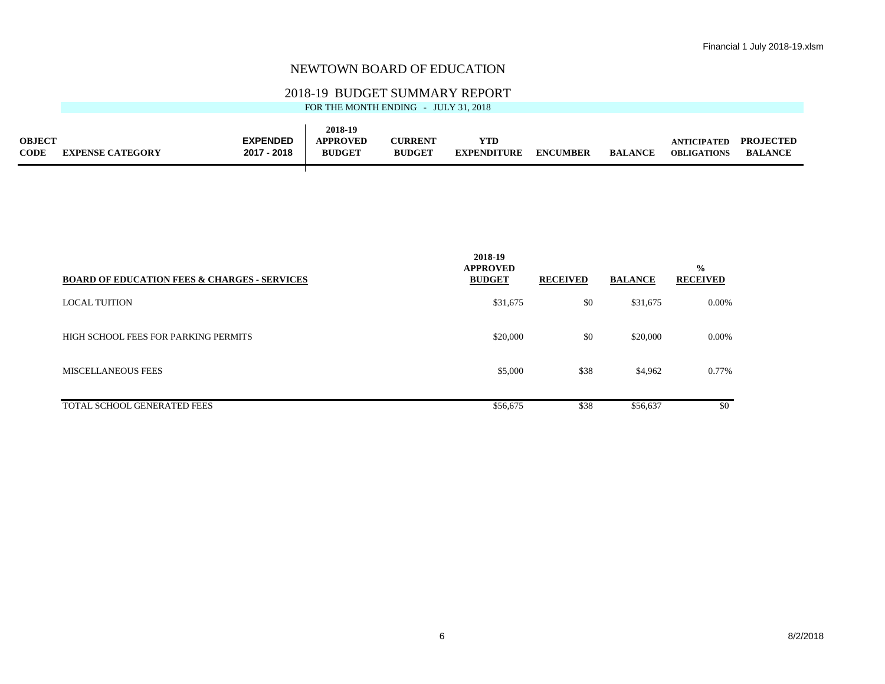## 2018-19 BUDGET SUMMARY REPORT

| FOR THE MONTH ENDING - JULY 31, 2018 |  |
|--------------------------------------|--|

|             |                         |                 | 2018-19         |               |                    |                 |                |                    |                  |
|-------------|-------------------------|-----------------|-----------------|---------------|--------------------|-----------------|----------------|--------------------|------------------|
| OBJECT      |                         | <b>EXPENDED</b> | <b>APPROVED</b> | CURRENT       | $v_{\rm TD}$       |                 |                | <b>ANTICIPATED</b> | <b>PROJECTED</b> |
| <b>CODE</b> | <b>EXPENSE CATEGORY</b> | $-2018$<br>2017 | <b>BUDGET</b>   | <b>BUDGET</b> | <b>EXPENDITURE</b> | <b>ENCUMBER</b> | <b>BALANCE</b> | <b>OBLIGATIONS</b> | <b>BALANCE</b>   |
|             |                         |                 |                 |               |                    |                 |                |                    |                  |

| <b>BOARD OF EDUCATION FEES &amp; CHARGES - SERVICES</b> | 2018-19<br><b>APPROVED</b><br><b>BUDGET</b> | <b>RECEIVED</b> | <b>BALANCE</b> | $\frac{0}{0}$<br><b>RECEIVED</b> |
|---------------------------------------------------------|---------------------------------------------|-----------------|----------------|----------------------------------|
| <b>LOCAL TUITION</b>                                    | \$31,675                                    | \$0             | \$31,675       | 0.00%                            |
| HIGH SCHOOL FEES FOR PARKING PERMITS                    | \$20,000                                    | \$0             | \$20,000       | 0.00%                            |
| <b>MISCELLANEOUS FEES</b>                               | \$5,000                                     | \$38            | \$4,962        | 0.77%                            |
| <b>TOTAL SCHOOL GENERATED FEES</b>                      | \$56,675                                    | \$38            | \$56,637       | \$0                              |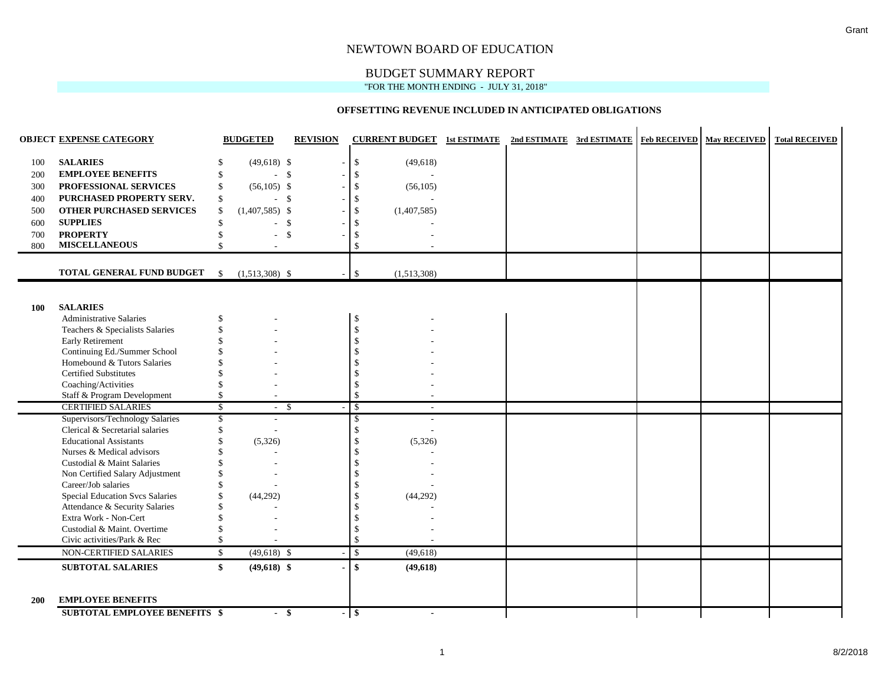## BUDGET SUMMARY REPORT

#### "FOR THE MONTH ENDING - JULY 31, 2018"

#### **OFFSETTING REVENUE INCLUDED IN ANTICIPATED OBLIGATIONS**

|            | <b>OBJECT EXPENSE CATEGORY</b>                                     |                          | <b>BUDGETED</b>  | <b>REVISION</b> |        | <b>CURRENT BUDGET</b> 1st ESTIMATE 2nd ESTIMATE 3rd ESTIMATE   Feb RECEIVED   May RECEIVED |  |  | <b>Total RECEIVED</b> |
|------------|--------------------------------------------------------------------|--------------------------|------------------|-----------------|--------|--------------------------------------------------------------------------------------------|--|--|-----------------------|
| 100        | <b>SALARIES</b>                                                    | S                        | $(49,618)$ \$    |                 |        | $\mathbb{S}$<br>(49,618)                                                                   |  |  |                       |
| 200        | <b>EMPLOYEE BENEFITS</b>                                           | \$                       | $-5$             |                 |        | \$                                                                                         |  |  |                       |
| 300        | PROFESSIONAL SERVICES                                              | \$                       | $(56,105)$ \$    |                 |        | \$<br>(56,105)                                                                             |  |  |                       |
| 400        | PURCHASED PROPERTY SERV.                                           | \$                       |                  | $-5$            |        | \$                                                                                         |  |  |                       |
| 500        | <b>OTHER PURCHASED SERVICES</b>                                    | \$                       | $(1,407,585)$ \$ |                 |        | \$<br>(1,407,585)                                                                          |  |  |                       |
| 600        | <b>SUPPLIES</b>                                                    | \$                       | $\sim$           | -\$             |        | \$                                                                                         |  |  |                       |
| 700        | <b>PROPERTY</b>                                                    | \$                       | ÷.               | -\$             |        | \$                                                                                         |  |  |                       |
| 800        | <b>MISCELLANEOUS</b>                                               | $\hat{\mathbf{S}}$       |                  |                 |        | \$                                                                                         |  |  |                       |
|            |                                                                    |                          |                  |                 |        |                                                                                            |  |  |                       |
|            | TOTAL GENERAL FUND BUDGET                                          | $\mathbf{s}$             | $(1,513,308)$ \$ |                 |        | \$<br>(1,513,308)                                                                          |  |  |                       |
|            |                                                                    |                          |                  |                 |        |                                                                                            |  |  |                       |
| <b>100</b> | <b>SALARIES</b>                                                    |                          |                  |                 |        |                                                                                            |  |  |                       |
|            | <b>Administrative Salaries</b>                                     | \$                       |                  |                 |        | $\mathbb{S}$                                                                               |  |  |                       |
|            | Teachers & Specialists Salaries                                    | \$                       |                  |                 |        | \$                                                                                         |  |  |                       |
|            | Early Retirement                                                   |                          |                  |                 |        | \$                                                                                         |  |  |                       |
|            | Continuing Ed./Summer School                                       |                          |                  |                 |        | \$                                                                                         |  |  |                       |
|            | Homebound & Tutors Salaries                                        |                          |                  |                 |        | \$                                                                                         |  |  |                       |
|            | <b>Certified Substitutes</b>                                       |                          |                  |                 |        | \$                                                                                         |  |  |                       |
|            | Coaching/Activities                                                |                          |                  |                 |        | \$                                                                                         |  |  |                       |
|            | Staff & Program Development<br><b>CERTIFIED SALARIES</b>           | \$                       |                  |                 |        | $\mathbb{S}$                                                                               |  |  |                       |
|            |                                                                    | $\mathcal{S}$            |                  | - \$            |        | $\mathcal{S}$<br>$\overline{\phantom{a}}$                                                  |  |  |                       |
|            | Supervisors/Technology Salaries<br>Clerical & Secretarial salaries | \$<br>$\mathbf{\hat{S}}$ |                  |                 |        | \$<br>\$                                                                                   |  |  |                       |
|            | <b>Educational Assistants</b>                                      |                          | (5,326)          |                 |        | \$<br>(5,326)                                                                              |  |  |                       |
|            | Nurses & Medical advisors                                          |                          |                  |                 |        | \$                                                                                         |  |  |                       |
|            | Custodial & Maint Salaries                                         |                          |                  |                 |        | \$                                                                                         |  |  |                       |
|            | Non Certified Salary Adjustment                                    |                          |                  |                 |        | \$                                                                                         |  |  |                       |
|            | Career/Job salaries                                                |                          |                  |                 |        | $\mathcal{S}$                                                                              |  |  |                       |
|            | <b>Special Education Svcs Salaries</b>                             |                          | (44, 292)        |                 |        | \$<br>(44,292)                                                                             |  |  |                       |
|            | Attendance & Security Salaries                                     |                          |                  |                 |        | \$                                                                                         |  |  |                       |
|            | Extra Work - Non-Cert                                              |                          |                  |                 |        | \$                                                                                         |  |  |                       |
|            | Custodial & Maint. Overtime                                        | $\mathbf{\hat{S}}$       |                  |                 |        | \$                                                                                         |  |  |                       |
|            | Civic activities/Park & Rec                                        | \$                       |                  |                 |        | \$                                                                                         |  |  |                       |
|            | NON-CERTIFIED SALARIES                                             | \$                       | $(49,618)$ \$    |                 |        | $\mathsf{\$}$<br>(49,618)                                                                  |  |  |                       |
|            | <b>SUBTOTAL SALARIES</b>                                           | \$                       | $(49,618)$ \$    |                 |        | \$<br>(49, 618)                                                                            |  |  |                       |
| <b>200</b> | <b>EMPLOYEE BENEFITS</b>                                           |                          |                  |                 |        |                                                                                            |  |  |                       |
|            | <b>SUBTOTAL EMPLOYEE BENEFITS \$</b>                               |                          |                  | - \$            | $-$ \$ | $\blacksquare$                                                                             |  |  |                       |

ù.